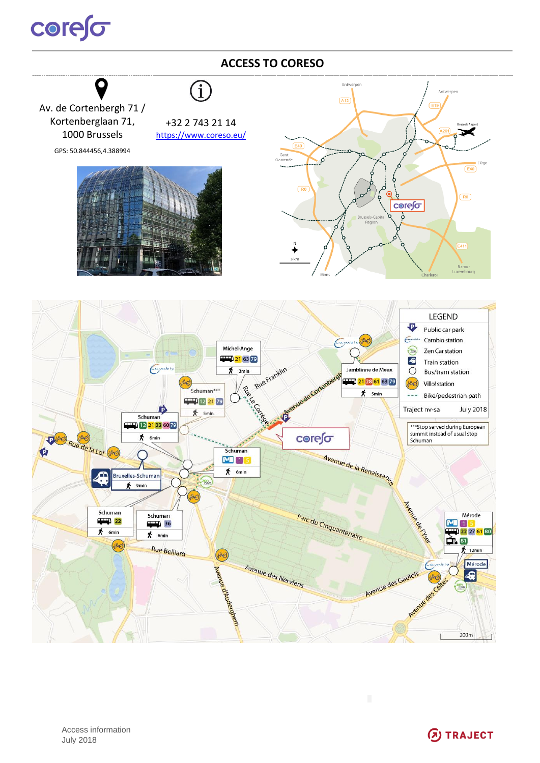## **COrefor**

## **ACCESS TO CORESO**  $\bigl(\widehat{1}\bigr)$ Ant  $\boxed{A12}$  $\overline{\overline{\mathsf{E}}$ 19 Av. de Cortenbergh 71 / Kortenberglaan 71, +32 2 743 21 14 1000 Brussels <https://www.coreso.eu/> GPS: 50.844456,4.388994 ------Liège j  $E40$  $\overline{R}$  $(R<sub>0</sub>)$ **corefor**  $E411$ Namur<br>xembourg **LEGEND**  $\overline{P}$ Public car park  $\sqrt{2}$ Cambio station **All** Michel-Ange S Zen Car station 21 63 79 4 **Train station** Rue Franklin  $\epsilon$ 秀  $3<sub>min</sub>$ Jamblinne de Meux  $\circ$ Bus/tram station pero) 21 28 61 63 79 Villo! station (Jille) Rive e Corte Schuman\*\*\*  $*$  5min  $\frac{1}{2}$ Bike/pedestrian path **EVEL** 12 21 79 Traject nv-sa **July 2018**  $\frac{1}{2}$  5min Schuman **Dave Rue de la Loi (1966)** 12 21 22 60 79 \*\*\* Stop served during European summit instead of usual stop<br>Schuman 术 core∫o 6min Schuman Avenue de la Renaissance Ó **M**15  $\overline{\mathbf{A}}$  6min **Bruxelles-Schumar** 9<sub>min</sub> Neard of Chance Parc du Cinquantenaire Schuman Mérode Schuman  $\frac{1}{22}$  $\frac{1}{2}$  36  $M_{1}$  $\bigstar$  6min 22 27 61 80  $*$  6min  $\bigoplus$  81 **UND** Rue Belliard  $\frac{1}{2}$  12min (JNO) Riende d'Audergren Avenue des Nerviens Mérode Avenue des Gaulois 42  $200m$